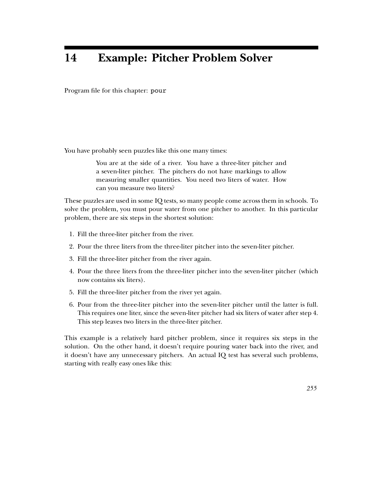# **14 Example: Pitcher Problem Solver**

Program file for this chapter: pour

You have probably seen puzzles like this one many times:

You are at the side of a river. You have a three-liter pitcher and a seven-liter pitcher. The pitchers do not have markings to allow measuring smaller quantities. You need two liters of water. How can you measure two liters?

These puzzles are used in some IQ tests, so many people come across them in schools. To solve the problem, you must pour water from one pitcher to another. In this particular problem, there are six steps in the shortest solution:

- 1. Fill the three-liter pitcher from the river.
- 2. Pour the three liters from the three-liter pitcher into the seven-liter pitcher.
- 3. Fill the three-liter pitcher from the river again.
- 4. Pour the three liters from the three-liter pitcher into the seven-liter pitcher (which now contains six liters).
- 5. Fill the three-liter pitcher from the river yet again.
- 6. Pour from the three-liter pitcher into the seven-liter pitcher until the latter is full. This requires one liter, since the seven-liter pitcher had six liters of water after step 4. This step leaves two liters in the three-liter pitcher.

This example is a relatively hard pitcher problem, since it requires six steps in the solution. On the other hand, it doesn't require pouring water back into the river, and it doesn't have any unnecessary pitchers. An actual IQ test has several such problems, starting with really easy ones like this:

*255*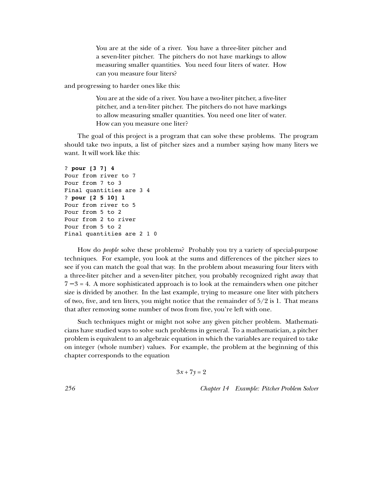You are at the side of a river. You have a three-liter pitcher and a seven-liter pitcher. The pitchers do not have markings to allow measuring smaller quantities. You need four liters of water. How can you measure four liters?

and progressing to harder ones like this:

You are at the side of a river. You have a two-liter pitcher, a five-liter pitcher, and a ten-liter pitcher. The pitchers do not have markings to allow measuring smaller quantities. You need one liter of water. How can you measure one liter?

The goal of this project is a program that can solve these problems. The program should take two inputs, a list of pitcher sizes and a number saying how many liters we want. It will work like this:

```
pour [3 7] 4
?
pour [2 5 10] 1
?
Pour from river to 7
Pour from 7 to 3
Final quantities are 3 4
Pour from river to 5
Pour from 5 to 2
Pour from 2 to river
Pour from 5 to 2
Final quantities are 2 1 0
```
7 – 3 = 4. A more sophisticated approach is to look at the remainders when one pitcher How do *people* solve these problems? Probably you try a variety of special-purpose techniques. For example, you look at the sums and differences of the pitcher sizes to see if you can match the goal that way. In the problem about measuring four liters with a three-liter pitcher and a seven-liter pitcher, you probably recognized right away that size is divided by another. In the last example, trying to measure one liter with pitchers of two, five, and ten liters, you might notice that the remainder of  $5/2$  is 1. That means that after removing some number of twos from five, you're left with one.

Such techniques might or might not solve any given pitcher problem. Mathematicians have studied ways to solve such problems in general. To a mathematician, a pitcher problem is equivalent to an algebraic equation in which the variables are required to take on integer (whole number) values. For example, the problem at the beginning of this chapter corresponds to the equation

$$
3x + 7y = 2
$$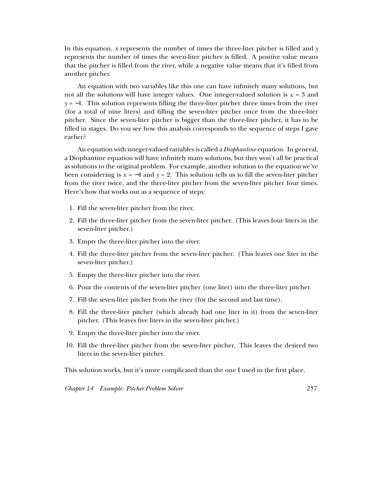In this equation,  $\mathrm{\mathit{x}}$  represents the number of times the three-liter pitcher is filled and  $\mathrm{\mathit{y}}$ represents the number of times the seven-liter pitcher is filled. A positive value means that the pitcher is filled from the river, while a negative value means that it's filled from another pitcher.

*y* = −1. This solution represents filling the three-liter pitcher three times from the river not all the solutions will have integer values. One integer-valued solution is  $x = 3$  and An equation with two variables like this one can have infinitely many solutions, but (for a total of nine liters) and filling the seven-liter pitcher once from the three-liter pitcher. Since the seven-liter pitcher is bigger than the three-liter pitcher, it has to be filled in stages. Do you see how this analysis corresponds to the sequence of steps I gave earlier?

been considering is  $x = -4$  and  $y = 2$ . This solution tells us to fill the seven-liter pitcher An equation with integer-valued variables is called a *Diophantine* equation. In general, a Diophantine equation will have infinitely many solutions, but they won't all be practical as solutions to the original problem. For example, another solution to the equation we've from the river twice, and the three-liter pitcher from the seven-liter pitcher four times. Here's how that works out as a sequence of steps:

- 1. Fill the seven-liter pitcher from the river.
- 2. Fill the three-liter pitcher from the seven-liter pitcher. (This leaves four liters in the seven-liter pitcher.)
- 3. Empty the three-liter pitcher into the river.
- 4. Fill the three-liter pitcher from the seven-liter pitcher. (This leaves one liter in the seven-liter pitcher.)
- 5. Empty the three-liter pitcher into the river.
- 6. Pour the contents of the seven-liter pitcher (one liter) into the three-liter pitcher.
- 7. Fill the seven-liter pitcher from the river (for the second and last time).
- 8. Fill the three-liter pitcher (which already had one liter in it) from the seven-liter pitcher. (This leaves five liters in the seven-liter pitcher.)
- 9. Empty the three-liter pitcher into the river.
- 10. Fill the three-liter pitcher from the seven-liter pitcher. This leaves the desired two liters in the seven-liter pitcher.

This solution works, but it's more complicated than the one I used in the first place.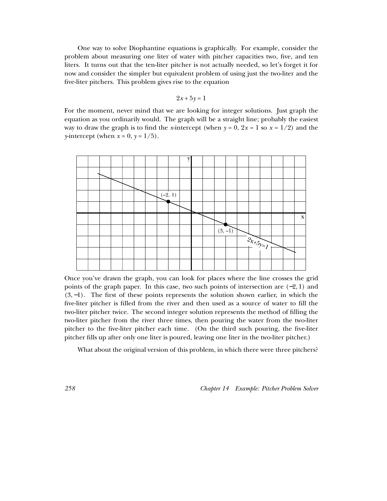One way to solve Diophantine equations is graphically. For example, consider the problem about measuring one liter of water with pitcher capacities two, five, and ten liters. It turns out that the ten-liter pitcher is not actually needed, so let's forget it for now and consider the simpler but equivalent problem of using just the two-liter and the five-liter pitchers. This problem gives rise to the equation

#### $2x + 5y = 1$

*way* to draw the graph is to find the *x*-intercept (when  $y = 0$ ,  $2x = 1$  so  $x = 1/2$ ) and the *y*-intercept (when  $x = 0$ ,  $y = 1/5$ ). For the moment, never mind that we are looking for integer solutions. Just graph the equation as you ordinarily would. The graph will be a straight line; probably the easiest



points of the graph paper. In this case, two such points of intersection are (-2, 1) and (3, -1). The first of these points represents the solution shown earlier, in which the Once you've drawn the graph, you can look for places where the line crosses the grid five-liter pitcher is filled from the river and then used as a source of water to fill the two-liter pitcher twice. The second integer solution represents the method of filling the two-liter pitcher from the river three times, then pouring the water from the two-liter pitcher to the five-liter pitcher each time. (On the third such pouring, the five-liter pitcher fills up after only one liter is poured, leaving one liter in the two-liter pitcher.)

What about the original version of this problem, in which there were three pitchers?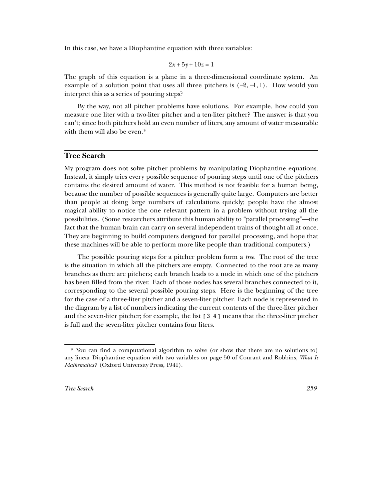In this case, we have a Diophantine equation with three variables:

$$
2x + 5y + 10z = 1
$$

example of a solution point that uses all three pitchers is  $(-2, -1, 1)$ . How would you The graph of this equation is a plane in a three-dimensional coordinate system. An interpret this as a series of pouring steps?

By the way, not all pitcher problems have solutions. For example, how could you measure one liter with a two-liter pitcher and a ten-liter pitcher? The answer is that you can't; since both pitchers hold an even number of liters, any amount of water measurable with them will also be even.\*

#### **Tree Search**

My program does not solve pitcher problems by manipulating Diophantine equations. Instead, it simply tries every possible sequence of pouring steps until one of the pitchers contains the desired amount of water. This method is not feasible for a human being, because the number of possible sequences is generally quite large. Computers are better than people at doing large numbers of calculations quickly; people have the almost magical ability to notice the one relevant pattern in a problem without trying all the possibilities. (Some researchers attribute this human ability to "parallel processing"—the fact that the human brain can carry on several independent trains of thought all at once. They are beginning to build computers designed for parallel processing, and hope that these machines will be able to perform more like people than traditional computers.)

and the seven-liter pitcher; for example, the list  $[3 \ 4]$  means that the three-liter pitcher The possible pouring steps for a pitcher problem form a *tree*. The root of the tree is the situation in which all the pitchers are empty. Connected to the root are as many branches as there are pitchers; each branch leads to a node in which one of the pitchers has been filled from the river. Each of those nodes has several branches connected to it, corresponding to the several possible pouring steps. Here is the beginning of the tree for the case of a three-liter pitcher and a seven-liter pitcher. Each node is represented in the diagram by a list of numbers indicating the current contents of the three-liter pitcher is full and the seven-liter pitcher contains four liters.

any linear Diophantine equation with two variables on page 50 of Courant and Robbins, What Is *Mathematics?* (Oxford University Press, 1941). \* You can find a computational algorithm to solve (or show that there are no solutions to)

*Tree Search 259*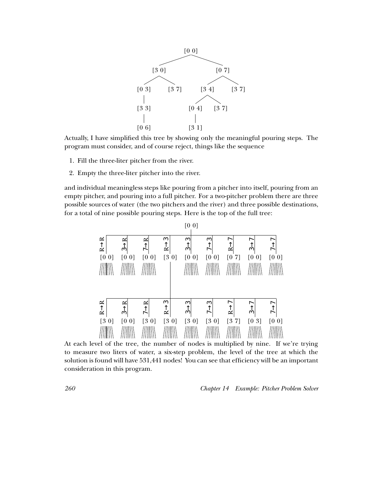

Actually, I have simplified this tree by showing only the meaningful pouring steps. The program must consider, and of course reject, things like the sequence

- 1. Fill the three-liter pitcher from the river.
- 2. Empty the three-liter pitcher into the river.

and individual meaningless steps like pouring from a pitcher into itself, pouring from an empty pitcher, and pouring into a full pitcher. For a two-pitcher problem there are three possible sources of water (the two pitchers and the river) and three possible destinations, for a total of nine possible pouring steps. Here is the top of the full tree:



At each level of the tree, the number of nodes is multiplied by nine. If we're trying to measure two liters of water, a six-step problem, the level of the tree at which the solution is found will have 531,441 nodes! You can see that efficiency will be an important consideration in this program.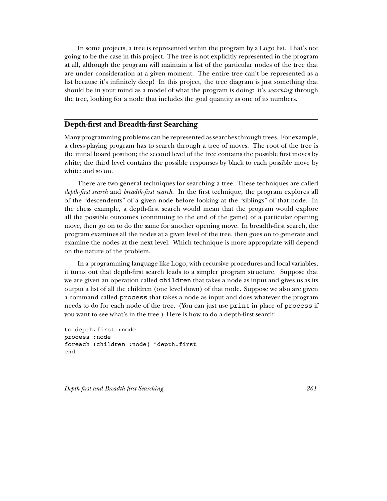should be in your mind as a model of what the program is doing: it's *searching* through In some projects, a tree is represented within the program by a Logo list. That's not going to be the case in this project. The tree is not explicitly represented in the program at all, although the program will maintain a list of the particular nodes of the tree that are under consideration at a given moment. The entire tree can't be represented as a list because it's infinitely deep! In this project, the tree diagram is just something that the tree, looking for a node that includes the goal quantity as one of its numbers.

# **Depth-first and Breadth-first Searching**

Many programming problems can be represented assearchesthrough trees. For example, a chess-playing program has to search through a tree of moves. The root of the tree is the initial board position; the second level of the tree contains the possible first moves by white; the third level contains the possible responses by black to each possible move by white; and so on.

depth-first search and *breadth-first search*. In the first technique, the program explores all There are two general techniques for searching a tree. These techniques are called of the "descendents" of a given node before looking at the "siblings" of that node. In the chess example, a depth-first search would mean that the program would explore all the possible outcomes (continuing to the end of the game) of a particular opening move, then go on to do the same for another opening move. In breadth-first search, the program examines all the nodes at a given level of the tree, then goes on to generate and examine the nodes at the next level. Which technique is more appropriate will depend on the nature of the problem.

we are given an operation called  $\tt{children}$  that takes a node as input and gives us as its a command called  $\verb|process|$  that takes a node as input and does whatever the program needs to do for each node of the tree. (You can just use  ${\tt print}$  in place of  ${\tt process}$  if In a programming language like Logo, with recursive procedures and local variables, it turns out that depth-first search leads to a simpler program structure. Suppose that output a list of all the children (one level down) of that node. Suppose we also are given you want to see what's in the tree.) Here is how to do a depth-first search:

```
to depth.first :node
process :node
foreach (children :node) "depth.first
end
```
*Depth-first and Breadth-first Searching 261*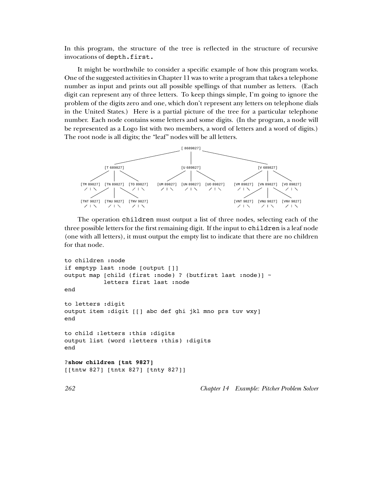invocations of depth.first. In this program, the structure of the tree is reflected in the structure of recursive

It might be worthwhile to consider a specific example of how this program works. One of the suggested activities in Chapter 11 was to write a program that takes a telephone number as input and prints out all possible spellings of that number as letters. (Each digit can represent any of three letters. To keep things simple, I'm going to ignore the problem of the digits zero and one, which don't represent any letters on telephone dials in the United States.) Here is a partial picture of the tree for a particular telephone number. Each node contains some letters and some digits. (In the program, a node will be represented as a Logo list with two members, a word of letters and a word of digits.) The root node is all digits; the "leaf" nodes will be all letters.



The operation children must output a list of three nodes, selecting each of the three possible letters for the first remaining digit. If the input to children is a leaf node (one with all letters), it must output the empty list to indicate that there are no children for that node.

```
show children [tnt 9827]
?
to children :node
if emptyp last :node [output []]
output map [child (first :node) ? (butfirst last :node)] ~
           letters first last :node
end
to letters :digit
output item :digit [[] abc def ghi jkl mno prs tuv wxy]
end
to child :letters :this :digits
output list (word :letters :this) :digits
end
[[tntw 827] [tntx 827] [tnty 827]]
```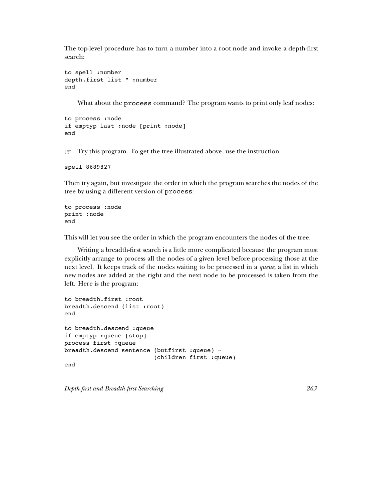The top-level procedure has to turn a number into a root node and invoke a depth-first search:

```
to spell :number
depth.first list " :number
end
```
What about the process command? The program wants to print only leaf nodes:

```
to process :node
if emptyp last :node [print :node]
end
```
☞ Try this program. To get the tree illustrated above, use the instruction

```
spell 8689827
```
tree by using a different version of process: Then try again, but investigate the order in which the program searches the nodes of the

```
to process :node
print :node
end
```
This will let you see the order in which the program encounters the nodes of the tree.

next level. It keeps track of the nodes waiting to be processed in a *queue,* a list in which Writing a breadth-first search is a little more complicated because the program must explicitly arrange to process all the nodes of a given level before processing those at the new nodes are added at the right and the next node to be processed is taken from the left. Here is the program:

```
to breadth.first :root
breadth.descend (list :root)
end
to breadth.descend :queue
if emptyp :queue [stop]
process first :queue
breadth.descend sentence (butfirst :queue) ~
                         (children first :queue)
end
```
*Depth-first and Breadth-first Searching 263*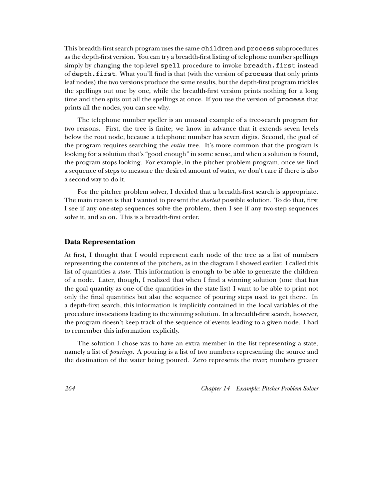This breadth-first search program uses the same  $\tt{children}$  and  $\tt{process}$  subprocedures simply by changing the top-level spell procedure to invoke breadth.first instead of depth.first. What you'll find is that (with the version of process that only prints time and then spits out all the spellings at once. If you use the version of process that as the depth-first version. You can try a breadth-first listing of telephone number spellings leaf nodes) the two versions produce the same results, but the depth-first program trickles the spellings out one by one, while the breadth-first version prints nothing for a long prints all the nodes, you can see why.

the program requires searching the *entire* tree. It's more common that the program is The telephone number speller is an unusual example of a tree-search program for two reasons. First, the tree is finite; we know in advance that it extends seven levels below the root node, because a telephone number has seven digits. Second, the goal of looking for a solution that's "good enough" in some sense, and when a solution is found, the program stops looking. For example, in the pitcher problem program, once we find a sequence of steps to measure the desired amount of water, we don't care if there is also a second way to do it.

The main reason is that I wanted to present the *shortest* possible solution. To do that, first For the pitcher problem solver, I decided that a breadth-first search is appropriate. I see if any one-step sequences solve the problem, then I see if any two-step sequences solve it, and so on. This is a breadth-first order.

#### **Data Representation**

list of quantities a *state*. This information is enough to be able to generate the children At first, I thought that I would represent each node of the tree as a list of numbers representing the contents of the pitchers, as in the diagram I showed earlier. I called this of a node. Later, though, I realized that when I find a winning solution (one that has the goal quantity as one of the quantities in the state list) I want to be able to print not only the final quantities but also the sequence of pouring steps used to get there. In a depth-first search, this information is implicitly contained in the local variables of the procedure invocations leading to the winning solution. In a breadth-first search, however, the program doesn't keep track of the sequence of events leading to a given node. I had to remember this information explicitly.

namely a list of *pourings*. A pouring is a list of two numbers representing the source and The solution I chose was to have an extra member in the list representing a state, the destination of the water being poured. Zero represents the river; numbers greater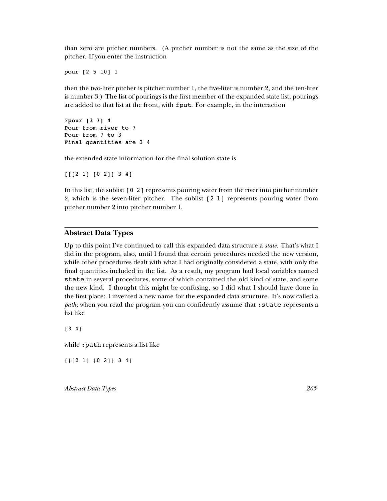than zero are pitcher numbers. (A pitcher number is not the same as the size of the pitcher. If you enter the instruction

pour [2 5 10] 1

are added to that list at the front, with <code>fput</code>. For example, in the interaction then the two-liter pitcher is pitcher number 1, the five-liter is number 2, and the ten-liter is number 3.) The list of pourings is the first member of the expanded state list; pourings

**pour [3 7] 4** ? Pour from river to 7 Pour from 7 to 3 Final quantities are 3 4

the extended state information for the final solution state is

[[[2 1] [0 2]] 3 4]

In this list, the sublist [0 2 ] represents pouring water from the river into pitcher number 2, which is the seven-liter pitcher. The sublist [2 1] represents pouring water from pitcher number 2 into pitcher number 1.

# **Abstract Data Types**

state in several procedures, some of which contained the old kind of state, and some path; when you read the program you can confidently assume that : state represents a Up to this point I've continued to call this expanded data structure a *state*. That's what I did in the program, also, until I found that certain procedures needed the new version, while other procedures dealt with what I had originally considered a state, with only the final quantities included in the list. As a result, my program had local variables named the new kind. I thought this might be confusing, so I did what I should have done in the first place: I invented a new name for the expanded data structure. It's now called a list like

[3 4]

while  $:\! \mathsf{path}\!$  represents a list like

[[[2 1] [0 2]] 3 4]

*Abstract Data Types 265*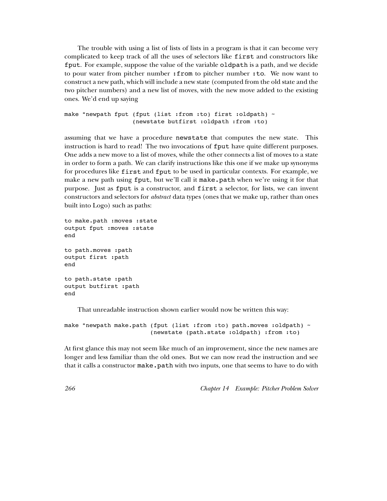complicated to keep track of all the uses of selectors like first and constructors like fput. For example, suppose the value of the variable oldpath is a path, and we decide to pour water from pitcher number: from to pitcher number: to. We now want to The trouble with using a list of lists of lists in a program is that it can become very construct a new path, which will include a new state (computed from the old state and the two pitcher numbers) and a new list of moves, with the new move added to the existing ones. We'd end up saying

```
make "newpath fput (fput (list :from :to) first :oldpath) ~
                   (newstate butfirst :oldpath :from :to)
```
constructors and selectors for *abstract* data types (ones that we make up, rather than ones assuming that we have a procedure newstate that computes the new state. This instruction is hard to read! The two invocations of fput have quite different purposes. for procedures like first and fput to be used in particular contexts. For example, we make a new path using  $fput$ , but we'll call it  $\texttt{make.path}$  when we're using it for that purpose. Just as fput is a constructor, and first a selector, for lists, we can invent One adds a new move to a list of moves, while the other connects a list of moves to a state in order to form a path. We can clarify instructions like this one if we make up synonyms built into Logo) such as paths:

```
to make.path :moves :state
output fput :moves :state
end
to path.moves :path
output first :path
end
to path.state :path
output butfirst :path
end
```
That unreadable instruction shown earlier would now be written this way:

make "newpath make.path (fput (list :from :to) path.moves :oldpath)  $\sim$ (newstate (path.state :oldpath) :from :to)

that it calls a constructor make. path with two inputs, one that seems to have to do with At first glance this may not seem like much of an improvement, since the new names are longer and less familiar than the old ones. But we can now read the instruction and see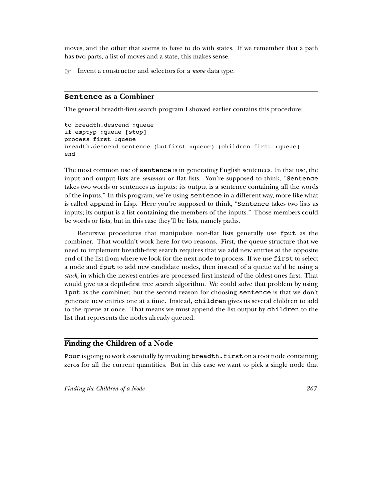moves, and the other that seems to have to do with states. If we remember that a path has two parts, a list of moves and a state, this makes sense.

☞ Invent a constructor and selectors for a *move* data type.

#### **Sentence as a Combiner**

The general breadth-first search program I showed earlier contains this procedure:

```
to breadth.descend :queue
if emptyp :queue [stop]
process first :queue
breadth.descend sentence (butfirst :queue) (children first :queue)
end
```
input and output lists are *sentences* or flat lists. You're supposed to think, "Sentence The most common use of **sentence** is in generating English sentences. In that use, the of the inputs." In this program, we're using sentence in a different way, more like what is called append in Lisp. Here you're supposed to think, "Sentence takes two lists as takes two words or sentences as inputs; its output is a sentence containing all the words inputs; its output is a list containing the members of the inputs." Those members could be words or lists, but in this case they'll be lists, namely paths.

*stack,* in which the newest entries are processed first instead of the oldest ones first. That Recursive procedures that manipulate non-flat lists generally use fput as the end of the list from where we look for the next node to process. If we use first to select a node and fput to add new candidate nodes, then instead of a queue we'd be using a lput as the combiner, but the second reason for choosing sentence is that we don't generate new entries one at a time. Instead,  $\verb|children|$  gives us several children to add to the queue at once. That means we must append the list output by children to the combiner. That wouldn't work here for two reasons. First, the queue structure that we need to implement breadth-first search requires that we add new entries at the opposite would give us a depth-first tree search algorithm. We could solve that problem by using list that represents the nodes already queued.

#### **Finding the Children of a Node**

Pour is going to work essentially by invoking  $\mathtt{breadth.first}$  on a root node containing zeros for all the current quantities. But in this case we want to pick a single node that

*Finding the Children of a Node 267*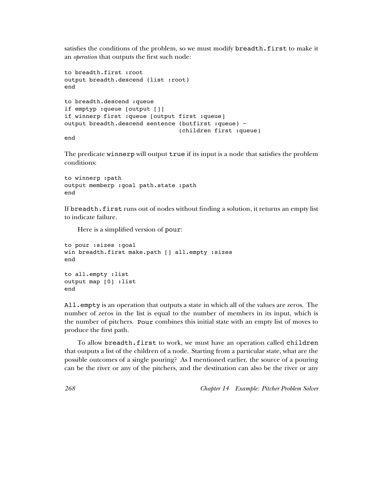an *operation* that outputs the first such node: satisfies the conditions of the problem, so we must modify **breadth.first** to make it

```
to breadth.first :root
output breadth.descend (list :root)
end
to breadth.descend :queue
if emptyp :queue [output []]
if winnerp first :queue [output first :queue]
output breadth.descend sentence (butfirst :queue) ~
                                (children first :queue)
```
end

The predicate winnerp will output true if its input is a node that satisfies the problem conditions:

```
to winnerp :path
output memberp :goal path.state :path
end
```
If <code>breadth.first</code> runs out of nodes without finding a solution, it returns an empty list to indicate failure.

Here is a simplified version of pour:

```
to pour :sizes :goal
win breadth.first make.path [] all.empty :sizes
end
to all.empty :list
output map [0] :list
end
```
All.empty is an operation that outputs a state in which all of the values are zeros. The the number of pitchers. Pour combines this initial state with an empty list of moves to number of zeros in the list is equal to the number of members in its input, which is produce the first path.

To allow breadth.first to work, we must have an operation called children that outputs a list of the children of a node. Starting from a particular state, what are the possible outcomes of a single pouring? As I mentioned earlier, the source of a pouring can be the river or any of the pitchers, and the destination can also be the river or any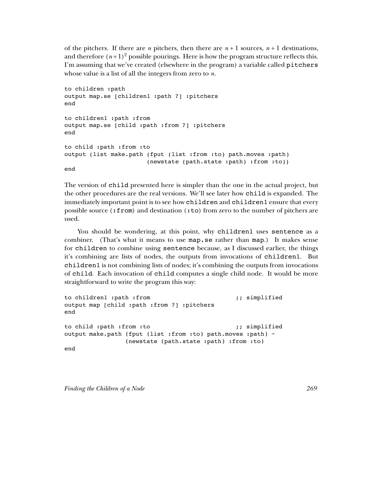and therefore  $(n+1)^2$  possible pourings. Here is how the program structure reflects this. of the pitchers. If there are *n* pitchers, then there are  $n+1$  sources,  $n+1$  destinations, whose value is a list of all the integers from zero to  $n$ . I'm assuming that we've created (elsewhere in the program) a variable called <code>pitchers</code>

```
to children :path
output map.se [children1 :path ?] :pitchers
end
to children1 :path :from
output map.se [child :path :from ?] :pitchers
end
to child :path :from :to
output (list make.path (fput (list :from :to) path.moves :path)
                       (newstate (path.state :path) :from :to))
end
```
The version of **child** presented here is simpler than the one in the actual project, but the other procedures are the real versions. We'll see later how child is expanded. The immediately important point is to see how  $\tt{children}$  and  $\tt{children1}$  ensure that every possible source  $(\texttt{:from})$  and destination  $(\texttt{:to})$  from zero to the number of pitchers are used.

You should be wondering, at this point, why children1 uses sentence as a combiner. (That's what it means to use  $map \text{se}$  rather than  $map$ .) It makes sense for children to combine using sentence because, as I discussed earlier, the things it's combining are lists of nodes, the outputs from invocations of children1. But children1 is not combining lists of nodes; it's combining the outputs from invocations of child. Each invocation of child computes a single child node. It would be more straightforward to write the program this way:

```
to children1 :path :from \qquad \qquad ; simplified
output map [child :path :from ?] :pitchers
end
to child :path :from :to \hspace{1.6cm} j ; simplified
output make.path (fput (list :from :to) path.moves :path) ~
                (newstate (path.state :path) :from :to)
end
```
*Finding the Children of a Node 269*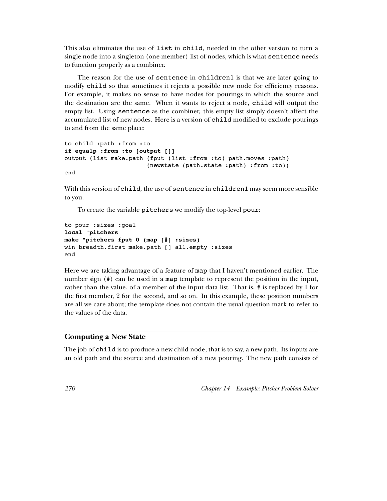This also eliminates the use of list in child, needed in the other version to turn a single node into a singleton (one-member) list of nodes, which is what <code>sentence</code> needs to function properly as a combiner.

The reason for the use of sentence in children1 is that we are later going to modify child so that sometimes it rejects a possible new node for efficiency reasons. the destination are the same. When it wants to reject a node, child will output the empty list. Using sentence as the combiner, this empty list simply doesn't affect the accumulated list of new nodes. Here is a version of  $\tt child$  modified to exclude pourings For example, it makes no sense to have nodes for pourings in which the source and to and from the same place:

```
if equalp :from :to [output []]
to child :path :from :to
output (list make.path (fput (list :from :to) path.moves :path)
                       (newstate (path.state :path) :from :to))
end
```
With this version of  $\tt child$ , the use of  $\tt sentence$  in  $\tt children1$  may seem more sensible to you.

To create the variable pitchers we modify the top-level pour:

```
local "pitchers
make "pitchers fput 0 (map [#] :sizes)
to pour :sizes :goal
win breadth.first make.path [] all.empty :sizes
end
```
Here we are taking advantage of a feature of map that I haven't mentioned earlier. The number sign (#) can be used in a map template to represent the position in the input, rather than the value, of a member of the input data list. That is,  $\#$  is replaced by  $1$  for the first member, 2 for the second, and so on. In this example, these position numbers are all we care about; the template does not contain the usual question mark to refer to the values of the data.

# **Computing a New State**

The job of  $\mathtt{child}$  is to produce a new child node, that is to say, a new path. Its inputs are an old path and the source and destination of a new pouring. The new path consists of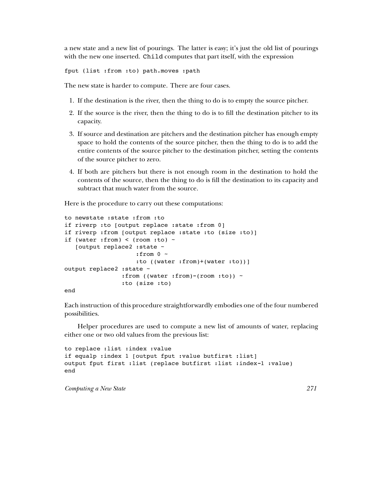with the new one inserted. Child computes that part itself, with the expression a new state and a new list of pourings. The latter is easy; it's just the old list of pourings

fput (list :from :to) path.moves :path

The new state is harder to compute. There are four cases.

- 1. If the destination is the river, then the thing to do is to empty the source pitcher.
- 2. If the source is the river, then the thing to do is to fill the destination pitcher to its capacity.
- 3. If source and destination are pitchers and the destination pitcher has enough empty space to hold the contents of the source pitcher, then the thing to do is to add the entire contents of the source pitcher to the destination pitcher, setting the contents of the source pitcher to zero.
- 4. If both are pitchers but there is not enough room in the destination to hold the contents of the source, then the thing to do is fill the destination to its capacity and subtract that much water from the source.

Here is the procedure to carry out these computations:

```
to newstate :state :from :to
if riverp :to [output replace :state :from 0]
if riverp :from [output replace :state :to (size :to)]
if (water : from) < (room : to) \sim[output replace2 :state ~
                    :from 0 ~
                    :to ((water :from)+(water :to))]
output replace2 :state ~
                :from ((water :from)-(room :to)) ~
                :to (size :to)
end
```
Each instruction of this procedure straightforwardly embodies one of the four numbered possibilities.

Helper procedures are used to compute a new list of amounts of water, replacing either one or two old values from the previous list:

```
to replace :list :index :value
if equalp :index 1 [output fput :value butfirst :list]
output fput first :list (replace butfirst :list :index-1 :value)
end
```
*Computing a New State 271*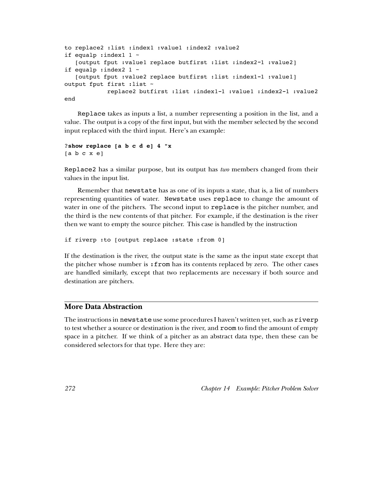```
to replace2 :list :index1 :value1 :index2 :value2
if equalp : index1 1 -[output fput :value1 replace butfirst :list :index2-1 :value2]
if equalp : index2 1 -[output fput :value2 replace butfirst :list :index1-1 :value1]
output fput first : list ~
            replace2 butfirst :list :index1-1 :value1 :index2-1 :value2
end
```
Replace takes as inputs a list, a number representing a position in the list, and a value. The output is a copy of the first input, but with the member selected by the second input replaced with the third input. Here's an example:

```
show replace [a b c d e] 4 "x
?
[a b c x e]
```
Replace2 has a similar purpose, but its output has *two* members changed from their values in the input list.

Remember that newstate has as one of its inputs a state, that is, a list of numbers representing quantities of water. Newstate uses replace to change the amount of water in one of the pitchers. The second input to replace is the pitcher number, and the third is the new contents of that pitcher. For example, if the destination is the river then we want to empty the source pitcher. This case is handled by the instruction

```
if riverp :to [output replace :state :from 0]
```
the pitcher whose number is : from has its contents replaced by zero. The other cases If the destination is the river, the output state is the same as the input state except that are handled similarly, except that two replacements are necessary if both source and destination are pitchers.

## **More Data Abstraction**

The instructions in  ${\rm newstate}$  use some procedures I haven't written yet, such as  ${\tt riverp}$ to test whether a source or destination is the river, and **room** to find the amount of empty space in a pitcher. If we think of a pitcher as an abstract data type, then these can be considered selectors for that type. Here they are: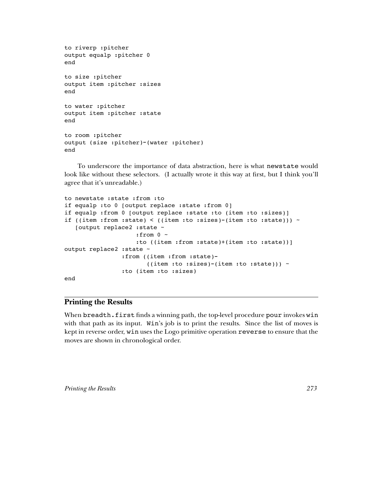```
to riverp :pitcher
output equalp :pitcher 0
end
to size :pitcher
output item :pitcher :sizes
end
to water :pitcher
output item :pitcher :state
end
to room :pitcher
output (size :pitcher)-(water :pitcher)
end
```
To underscore the importance of data abstraction, here is what newstate would look like without these selectors. (I actually wrote it this way at first, but I think you'll agree that it's unreadable.)

```
to newstate :state :from :to
if equalp :to 0 [output replace :state :from 0]
if equalp :from 0 [output replace :state :to (item :to :sizes)]
if ((item :from :state) < ((item :to :sizes)-(item :to :state))) ~
   [output replace2 :state ~
                    :from 0 ~
                    :to ((item :from :state)+(item :to :state))]
output replace2 :state ~
                :from ((item :from :state)-
                       ((item :to :sizes)-(item :to :state))) ~
                :to (item :to :sizes)
end
```
# **Printing the Results**

When <code>breadth.first</code> finds a winning path, the top-level procedure <code>pour</code> invokes <code>win</code> with that path as its input. Win's job is to print the results. Since the list of moves is kept in reverse order, win uses the Logo primitive operation reverse to ensure that the moves are shown in chronological order.

*Printing the Results 273*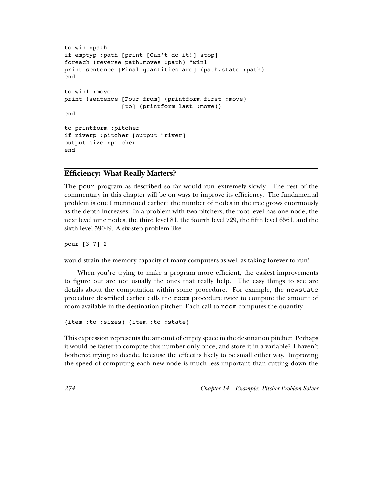```
to win :path
if emptyp :path [print [Can't do it!] stop]
foreach (reverse path.moves :path) "win1
print sentence [Final quantities are] (path.state :path)
end
to win1 :move
print (sentence [Pour from] (printform first :move)
                [to] (printform last :move))
end
to printform :pitcher
if riverp :pitcher [output "river]
output size :pitcher
end
```
# **Efficiency: What Really Matters?**

The pour program as described so far would run extremely slowly. The rest of the commentary in this chapter will be on ways to improve its efficiency. The fundamental problem is one I mentioned earlier: the number of nodes in the tree grows enormously as the depth increases. In a problem with two pitchers, the root level has one node, the next level nine nodes, the third level 81, the fourth level 729, the fifth level 6561, and the sixth level 59049. A six-step problem like

pour [3 7] 2

would strain the memory capacity of many computers as well as taking forever to run!

details about the computation within some procedure. For example, the newstate procedure described earlier calls the room procedure twice to compute the amount of room available in the destination pitcher. Each call to **room** computes the quantity When you're trying to make a program more efficient, the easiest improvements to figure out are not usually the ones that really help. The easy things to see are

```
(item :to :sizes)-(item :to :state)
```
This expression represents the amount of empty space in the destination pitcher. Perhaps it would be faster to compute this number only once, and store it in a variable? I haven't bothered trying to decide, because the effect is likely to be small either way. Improving the speed of computing each new node is much less important than cutting down the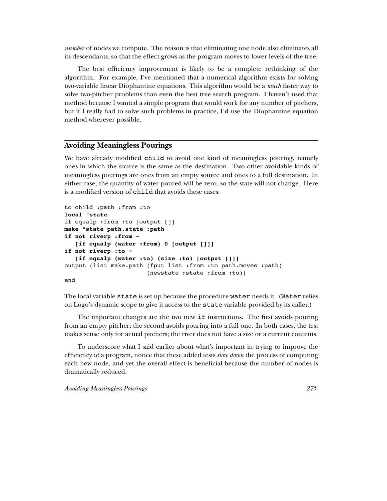number of nodes we compute. The reason is that eliminating one node also eliminates all its descendants, so that the effect grows as the program moves to lower levels of the tree.

two-variable linear Diophantine equations. This algorithm would be a *much* faster way to The best efficiency improvement is likely to be a complete rethinking of the algorithm. For example, I've mentioned that a numerical algorithm exists for solving solve two-pitcher problems than even the best tree search program. I haven't used that method because I wanted a simple program that would work for any number of pitchers, but if I really had to solve such problems in practice, I'd use the Diophantine equation method wherever possible.

#### **Avoiding Meaningless Pourings**

We have already modified child to avoid one kind of meaningless pouring, namely is a modified version of **child** that avoids these cases: ones in which the source is the same as the destination. Two other avoidable kinds of meaningless pourings are ones from an empty source and ones to a full destination. In either case, the quantity of water poured will be zero, so the state will not change. Here

```
to child :path :from :to
if equalp :from :to [output []]
output (list make.path (fput list :from :to path.moves :path)
                       (newstate :state :from :to))
end
local "state
make "state path.state :path
if not riverp :from ~
   [if equalp (water :from) 0 [output []]]
if not riverp :to ~
   [if equalp (water :to) (size :to) [output []]]
```
The local variable  ${\tt state}$  is set up because the procedure  ${\tt water}$  needs it. (Water relies on Logo's dynamic scope to give it access to the state variable provided by its caller.)

The important changes are the two new if instructions. The first avoids pouring from an empty pitcher; the second avoids pouring into a full one. In both cases, the test makes sense only for actual pitchers; the river does not have a size or a current contents.

efficiency of a program, notice that these added tests *slow down* the process of computing To underscore what I said earlier about what's important in trying to improve the each new node, and yet the overall effect is beneficial because the number of nodes is dramatically reduced.

*Avoiding Meaningless Pourings 275*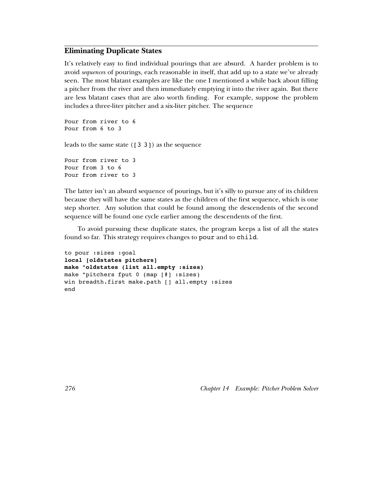## **Eliminating Duplicate States**

avoid *sequences* of pourings, each reasonable in itself, that add up to a state we've already It's relatively easy to find individual pourings that are absurd. A harder problem is to seen. The most blatant examples are like the one I mentioned a while back about filling a pitcher from the river and then immediately emptying it into the river again. But there are less blatant cases that are also worth finding. For example, suppose the problem includes a three-liter pitcher and a six-liter pitcher. The sequence

```
Pour from river to 6
Pour from 6 to 3
```
leads to the same state  $($ [33] $)$  as the sequence

Pour from river to 3 Pour from 3 to 6 Pour from river to 3

The latter isn't an absurd sequence of pourings, but it's silly to pursue any of its children because they will have the same states as the children of the first sequence, which is one step shorter. Any solution that could be found among the descendents of the second sequence will be found one cycle earlier among the descendents of the first.

found so far. This strategy requires changes to  $\mathsf{pour}$  and to  $\mathsf{child}.$ To avoid pursuing these duplicate states, the program keeps a list of all the states

```
local [oldstates pitchers]
make "oldstates (list all.empty :sizes)
to pour :sizes :goal
make "pitchers fput 0 (map [#] :sizes)
win breadth.first make.path [] all.empty :sizes
end
```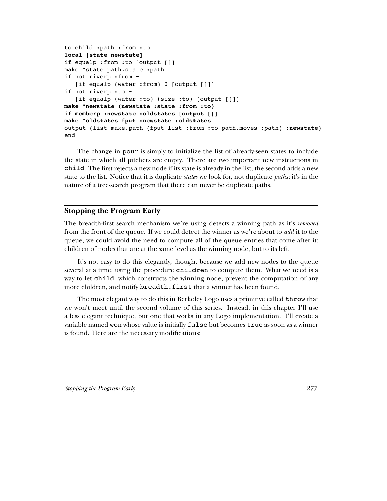```
local [state newstate]
make "newstate (newstate :state :from :to)
if memberp :newstate :oldstates [output []]
make "oldstates fput :newstate :oldstates
output (list make.path (fput list :from :to path.moves :path) :newstate)
to child :path :from :to
if equalp :from :to [output []]
make "state path.state :path
if not riverp :from ~
   [if equalp (water :from) 0 [output []]]
if not riverp :to ~
   [if equalp (water :to) (size :to) [output []]]
end
```
state to the list. Notice that it is duplicate *states* we look for, not duplicate *paths*; it's in the The change in pour is simply to initialize the list of already-seen states to include child . The first rejects a new node if its state is already in the list; the second adds a new the state in which all pitchers are empty. There are two important new instructions in nature of a tree-search program that there can never be duplicate paths.

## **Stopping the Program Early**

The breadth-first search mechanism we're using detects a winning path as it's removed from the front of the queue. If we could detect the winner as we're about to *add* it to the queue, we could avoid the need to compute all of the queue entries that come after it: children of nodes that are at the same level as the winning node, but to its left.

several at a time, using the procedure  $child$ ren to compute them. What we need is a way to let child, which constructs the winning node, prevent the computation of any more children, and notify breadth. first that a winner has been found. It's not easy to do this elegantly, though, because we add new nodes to the queue

The most elegant way to do this in Berkeley Logo uses a primitive called throw that variable named **won** whose value is initially <code>false</code> but becomes <code>true</code> as soon as a winner we won't meet until the second volume of this series. Instead, in this chapter I'll use a less elegant technique, but one that works in any Logo implementation. I'll create a is found. Here are the necessary modifications:

*Stopping the Program Early 277*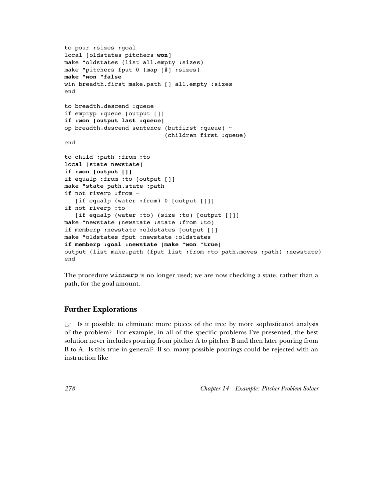```
local [oldstates pitchers won]
make "won "false
if :won [output last :queue]
if :won [output []]
if memberp :goal :newstate [make "won "true]
to pour :sizes :goal
make "oldstates (list all.empty :sizes)
make "pitchers fput 0 (map [#] :sizes)
win breadth.first make.path [] all.empty :sizes
end
to breadth.descend :queue
if emptyp :queue [output []]
op breadth.descend sentence (butfirst :queue) ~
                            (children first :queue)
end
to child :path :from :to
local [state newstate]
if equalp :from :to [output []]
make "state path.state :path
if not riverp :from ~
   [if equalp (water :from) 0 [output []]]
if not riverp :to
   [if equalp (water :to) (size :to) [output []]]
make "newstate (newstate :state :from :to)
if memberp :newstate :oldstates [output []]
make "oldstates fput :newstate :oldstates
output (list make.path (fput list :from :to path.moves :path) :newstate)
end
```
The procedure winnerp is no longer used; we are now checking a state, rather than a path, for the goal amount.

# **Further Explorations**

☞ Is it possible to eliminate more pieces of the tree by more sophisticated analysis of the problem? For example, in all of the specific problems I've presented, the best solution never includes pouring from pitcher A to pitcher B and then later pouring from B to A. Is this true in general? If so, many possible pourings could be rejected with an instruction like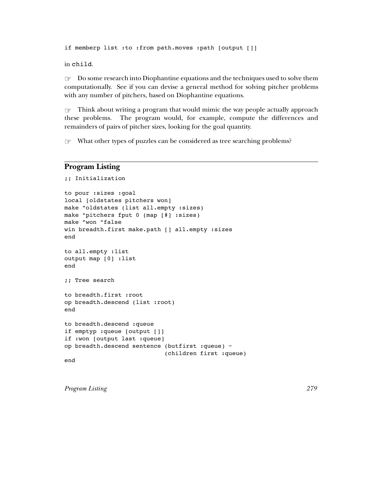if memberp list :to :from path.moves :path [output []]

in **child**.

☞ Do some research into Diophantine equations and the techniques used to solve them computationally. See if you can devise a general method for solving pitcher problems with any number of pitchers, based on Diophantine equations.

☞ Think about writing a program that would mimic the way people actually approach these problems. The program would, for example, compute the differences and remainders of pairs of pitcher sizes, looking for the goal quantity.

☞ What other types of puzzles can be considered as tree searching problems?

## **Program Listing**

```
;; Initialization
to pour :sizes :goal
local [oldstates pitchers won]
make "oldstates (list all.empty :sizes)
make "pitchers fput 0 (map [#] :sizes)
make "won "false
win breadth.first make.path [] all.empty :sizes
end
to all.empty :list
output map [0] :list
end
;; Tree search
to breadth.first :root
op breadth.descend (list :root)
end
to breadth.descend :queue
if emptyp :queue [output []]
if :won [output last :queue]
op breadth.descend sentence (butfirst :queue) ~
                            (children first :queue)
end
```
*Program Listing 279*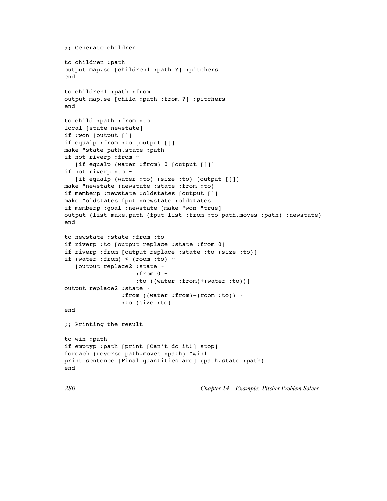```
;; Generate children
to children :path
output map.se [children1 :path ?] :pitchers
end
to children1 :path :from
output map.se [child :path :from ?] :pitchers
end
to child :path :from :to
local [state newstate]
if :won [output []]
if equalp :from :to [output []]
make "state path.state :path
if not riverp :from ~
   [if equalp (water :from) 0 [output []]]
if not riverp :to ~
   [if equalp (water :to) (size :to) [output []]]
make "newstate (newstate :state :from :to)
if memberp :newstate :oldstates [output []]
make "oldstates fput :newstate :oldstates
if memberp :goal :newstate [make "won "true]
output (list make.path (fput list :from :to path.moves :path) :newstate)
end
to newstate :state :from :to
if riverp :to [output replace :state :from 0]
if riverp :from [output replace :state :to (size :to)]
if (water : from) < (room : to) \sim[output replace2 :state ~
                    :from 0 ~
                    :to ((water :from)+(water :to))]
output replace2 :state ~
                :from ((water :from)-(room :to)) ~
                :to (size :to)
end
;; Printing the result
to win :path
if emptyp :path [print [Can't do it!] stop]
foreach (reverse path.moves :path) "win1
print sentence [Final quantities are] (path.state :path)
end
```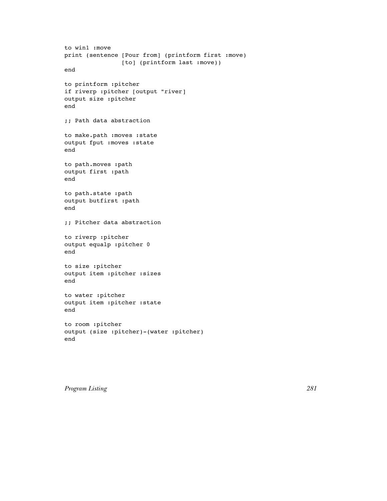```
to win1 :move
print (sentence [Pour from] (printform first :move)
                [to] (printform last :move))
end
to printform :pitcher
if riverp :pitcher [output "river]
output size :pitcher
end
;; Path data abstraction
to make.path :moves :state
output fput :moves :state
end
to path.moves :path
output first :path
end
to path.state :path
output butfirst :path
end
;; Pitcher data abstraction
to riverp :pitcher
output equalp :pitcher 0
end
to size :pitcher
output item :pitcher :sizes
end
to water :pitcher
output item :pitcher :state
end
to room :pitcher
output (size :pitcher)-(water :pitcher)
end
```
*Program Listing 281*